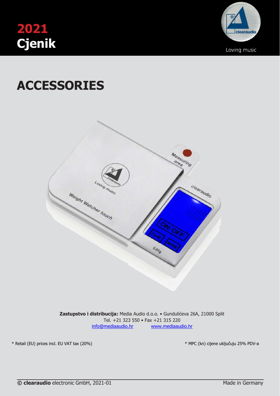



# **ACCESSORIES**



**Zastupstvo i distribucija:** Media Audio d.o.o. • Gundulićeva 26A, 21000 Split Tel. +21 323 550 • Fax +21 315 220 [info@mediaaudio.hr](mailto:info@mediaaudio.hr) [www.mediaaudio.hr](http://www.mediaaudio.hr/)

\* Retail (EU) prices incl. EU VAT tax (20%) \* MPC (kn) cijene uključuju 25% PDV-a

 $\epsilon$ ) and the clearaudio electronic control  $\ast$  M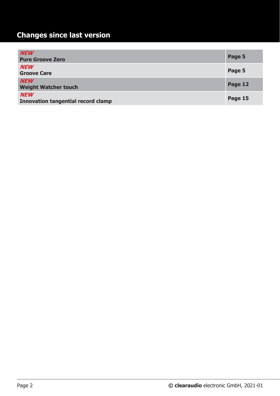# **Changes since last version**

| <b>NEW</b><br><b>Pure Groove Zero</b>                   | Page 5  |
|---------------------------------------------------------|---------|
| <b>NEW</b><br><b>Groove Care</b>                        | Page 5  |
| <b>NEW</b><br><b>Weight Watcher touch</b>               | Page 12 |
| <b>NEW</b><br><b>Innovation tangential record clamp</b> | Page 15 |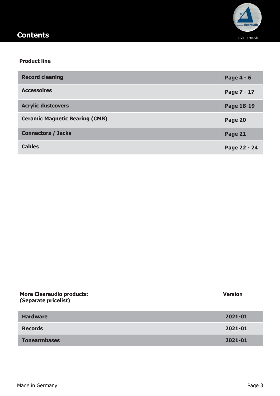

# **Contents**

### **Product line**

| <b>Record cleaning</b>                | Page 4 - 6   |
|---------------------------------------|--------------|
| <b>Accessoires</b>                    | Page 7 - 17  |
| <b>Acrylic dustcovers</b>             | Page 18-19   |
| <b>Ceramic Magnetic Bearing (CMB)</b> | Page 20      |
| <b>Connectors / Jacks</b>             | Page 21      |
| <b>Cables</b>                         | Page 22 - 24 |

| <b>More Clearaudio products:</b><br>(Separate pricelist) | <b>Version</b> |
|----------------------------------------------------------|----------------|
| <b>Hardware</b>                                          | 2021-01        |
| <b>Records</b>                                           | 2021-01        |
| <b>Tonearmbases</b>                                      | 2021-01        |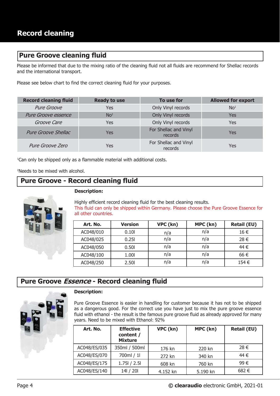## **Pure Groove cleaning fluid**

Please be informed that due to the mixing ratio of the cleaning fluid not all fluids are recommend for Shellac records and the international transport.

Please see below chart to find the correct cleaning fluid for your purposes.

| <b>Record cleaning fluid</b> | <b>Ready to use</b> | To use for                       | <b>Allowed for export</b>   |
|------------------------------|---------------------|----------------------------------|-----------------------------|
| <b>Pure Groove</b>           | Yes                 | Only Vinyl records               | N <sub>O</sub> <sup>1</sup> |
| <b>Pure Groove essence</b>   | No <sup>2</sup>     | Only Vinyl records               | Yes                         |
| Groove Care                  | <b>Yes</b>          | Only Vinyl records               | <b>Yes</b>                  |
| <b>Pure Groove Shellac</b>   | <b>Yes</b>          | For Shellac and Vinyl<br>records | Yes                         |
| Pure Groove Zero             | Yes                 | For Shellac and Vinyl<br>records | Yes                         |

<sup>1</sup>Can only be shipped only as a flammable material with additional costs.

<sup>2</sup>Needs to be mixed with alcohol.

# **Pure Groove - Record cleaning fluid**



**Description:**

Highly efficient record cleaning fluid for the best cleaning results. This fluid can only be shipped within Germany. Please choose the Pure Groove Essence for all other countries.

| Art. No.  | <b>Version</b> | VPC (kn) | MPC (kn) | <b>Retail (EU)</b> |
|-----------|----------------|----------|----------|--------------------|
| AC048/010 | 0.101          | n/a      | n/a      | 16 €               |
| AC048/025 | 0.251          | n/a      | n/a      | 28 €               |
| AC048/050 | 0.501          | n/a      | n/a      | 44 €               |
| AC048/100 | 1.001          | n/a      | n/a      | 66 €               |
| AC048/250 | 2.50           | n/a      | n/a      | 154 €              |

### **Pure Groove Essence - Record cleaning fluid**



#### **Description:**

Pure Groove Essence is easier in handling for customer because it has not to be shipped as a dangerous good. For the correct use you have just to mix the pure groove essence fluid with ethanol - the result is the famous pure groove fluid as already approved for many years. Need to be mixed with Ethanol: 92%

| Art. No.     | <b>Effective</b><br>content /<br><b>Mixture</b> | VPC (kn) | MPC (kn) | <b>Retail (EU)</b> |
|--------------|-------------------------------------------------|----------|----------|--------------------|
| AC048/ES/035 | 350ml / 500ml                                   | 176 kn   | 220 kn   | 28 €               |
| AC048/ES/070 | 700ml / 1l                                      | 272 kn   | 340 kn   | 44 €               |
| AC048/ES/175 | $1.75$   $/ 2.5$                                | 608 kn   | 760 kn   | 99€                |
| AC048/ES/140 | 14 / 20                                         | 4.152 kn | 5.190 kn | 682€               |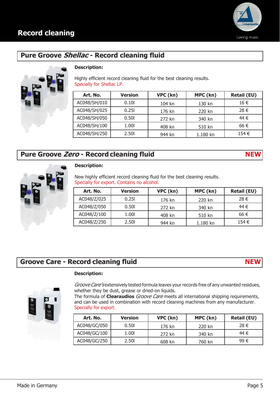

# **Pure Groove Shellac - Record cleaning fluid**



### **Description:**

Highly efficient record cleaning fluid for the best cleaning results. Specially for Shellac LP.

| Art. No.     | <b>Version</b> | VPC (kn) | MPC (kn) | <b>Retail (EU)</b> |
|--------------|----------------|----------|----------|--------------------|
| AC048/SH/010 | 0.101          | 104 kn   | 130 kn   | 16 €               |
| AC048/SH/025 | 0.251          | 176 kn   | 220 kn   | 28 €               |
| AC048/SH/050 | 0.50           | 272 kn   | 340 kn   | 44 €               |
| AC048/SH/100 | 1.00           | 408 kn   | 510 kn   | 66 €               |
| AC048/SH/250 | 2.50           | 944 kn   | 1.180 kn | 154 €              |

# **Pure Groove Zero - Record cleaning fluid NEW**



### **Description:**

New highly efficient record cleaning fluid for the best cleaning results. Specially for export. Contains no alcohol.

| Art. No.    | <b>Version</b> | VPC (kn) | MPC (kn) | <b>Retail (EU)</b> |
|-------------|----------------|----------|----------|--------------------|
| AC048/Z/025 | 0.251          | 176 kn   | 220 kn   | 28 €               |
| AC048/Z/050 | 0.501          | 272 kn   | 340 kn   | 44 €               |
| AC048/Z/100 | 1.00           | 408 kn   | 510 kn   | 66 €               |
| AC048/Z/250 | 2.50           | 944 kn   | 1.180 kn | 154 €              |

# **Groove Care - Record cleaning fluid NEW**

**Description:**



Groove Care's extensively tested formula leaves your records free of any unwanted residues, whether they be dust, grease or dried-on liquids.

The formula of **Clearaudios** Groove Care meets all international shipping requirements, and can be used in combination with record cleaning machines from any manufacturer. Specially for export.

| Art. No.     | <b>Version</b> | VPC (kn) | MPC (kn) | <b>Retail (EU)</b> |
|--------------|----------------|----------|----------|--------------------|
| AC048/GC/050 | 0.501          | 176 kn   | 220 kn   | 28 €               |
| AC048/GC/100 | 1.001          | 272 kn   | 340 kn   | 44 €               |
| AC048/GC/250 | 2.50l          | 608 kn   | 760 kn   | 99€                |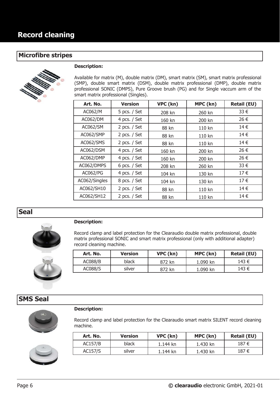### **Microfibre stripes**



#### **Description:**

Available for matrix (M), double matrix (DM), smart matrix (SM), smart matrix professional (SMP), double smart matrix (DSM), double matrix professional (DMP), double matrix professional SONIC (DMPS), Pure Groove brush (PG) and for Single vaccum arm of the smart matrix professional (Singles).

| Art. No.        | <b>Version</b> | VPC (kn) | MPC (kn) | <b>Retail (EU)</b> |
|-----------------|----------------|----------|----------|--------------------|
| AC062/M         | 5 pcs. $/$ Set | 208 kn   | 260 kn   | 33 €               |
| <b>AC062/DM</b> | 4 pcs. / Set   | 160 kn   | 200 kn   | 26 €               |
| AC062/SM        | 2 pcs. $/$ Set | 88 kn    | 110 kn   | 14€                |
| AC062/SMP       | 2 pcs. $/$ Set | 88 kn    | 110 kn   | 14 €               |
| AC062/SMS       | 2 pcs. / Set   | 88 kn    | 110 kn   | 14€                |
| AC062/DSM       | 4 pcs. / Set   | 160 kn   | 200 kn   | 26 €               |
| AC062/DMP       | 4 pcs. / Set   | 160 kn   | 200 kn   | 26 €               |
| AC062/DMPS      | 6 pcs. $/$ Set | 208 kn   | 260 kn   | 33 €               |
| AC062/PG        | 4 pcs. / Set   | 104 kn   | 130 kn   | 17€                |
| AC062/Singles   | 8 pcs. / Set   | 104 kn   | 130 kn   | 17€                |
| AC062/SH10      | 2 pcs. $/$ Set | 88 kn    | 110 kn   | 14€                |
| AC062/SH12      | 2 pcs. $/$ Set | 88 kn    | 110 kn   | 14€                |

**Seal**



#### **Description:**

Record clamp and label protection for the Clearaudio double matrix professional, double matrix professional SONIC and smart matrix professional (only with additional adapter) record cleaning machine.

| Art. No. | <b>Version</b> | VPC (kn) | MPC (kn) | <b>Retail (EU)</b> |
|----------|----------------|----------|----------|--------------------|
| AC088/B  | black          | 872 kn   | 1.090 kn | 143 €              |
| AC088/S  | silver         | 872 kn   | 1.090 kn | 143 €              |

## **SMS Seal**

#### **Description:**





Record clamp and label protection for the Clearaudio smart matrix SILENT record cleaning machine.

| Art. No. | <b>Version</b> | VPC (kn) | MPC (kn) | <b>Retail (EU)</b> |
|----------|----------------|----------|----------|--------------------|
| AC157/B  | black          | 1.144 kn | 1.430 kn | 187 €              |
| AC157/S  | silver         | 1.144 kn | 1.430 kn | 187 €              |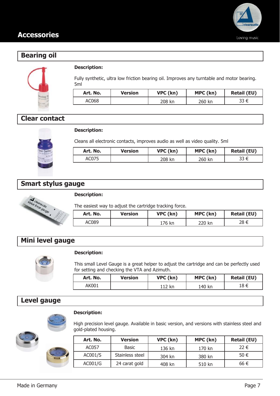



### **Description:**

Fully synthetic, ultra low friction bearing oil. Improves any turntable and motor bearing. 5ml

| Art. No. | <b>Version</b> | VPC (kn) | MPC (kn) | <b>Retail (EU)</b> |
|----------|----------------|----------|----------|--------------------|
| AC068    |                | 208 kn   | 260 kn   | 33 €               |

### **Clear contact**

### **Description:**

Cleans all electronic contacts, improves audio as well as video quality. 5ml

| Art. No. | <b>Version</b> | VPC (kn) | MPC (kn) | <b>Retail (EU)</b> |
|----------|----------------|----------|----------|--------------------|
| AC075    |                | 208 kn   | 260 kn   | 33 €               |

### **Smart stylus gauge**



#### **Description:**

The easiest way to adjust the cartridge tracking force.

| Art. No. | <b>Version</b> | VPC (kn) | MPC (kn) | <b>Retail (EU)</b> |
|----------|----------------|----------|----------|--------------------|
| AC089    |                | 176 kn   | 220 kn   | 28 €               |

# **Mini level gauge**



#### **Description:**

This small Level Gauge is a great helper to adjust the cartridge and can be perfectly used for setting and checking the VTA and Azimuth.

| Art. No. | <b>Version</b> | VPC (kn) | MPC (kn) | <b>Retail (EU)</b> |
|----------|----------------|----------|----------|--------------------|
| AK001    |                | 112 kn   | 140 kn   | 18 €               |

# **Level gauge**



### **Description:**

High precision level gauge. Available in basic version, and versions with stainless steel and gold-plated housing.

| Art. No. | <b>Version</b>  | VPC (kn) | MPC (kn) | <b>Retail (EU)</b> |
|----------|-----------------|----------|----------|--------------------|
| AC057    | Basic           | 136 kn   | 170 kn   | 22 €               |
| AC001/S  | Stainless steel | 304 kn   | 380 kn   | 50 €               |
| AC001/G  | 24 carat gold   | 408 kn   | 510 kn   | 66 €               |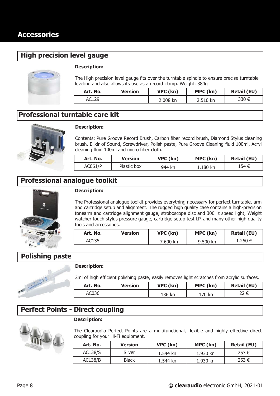# **High precision level gauge**



#### **Description:**

The High precision level gauge fits over the turntable spindle to ensure precise turntable leveling and also allows its use as a record clamp. Weight: 384g

| Art. No. | <b>Version</b> | VPC (kn) | MPC (kn) | <b>Retail (EU)</b> |
|----------|----------------|----------|----------|--------------------|
| AC129    |                | 2.008 kn | 2.510 kn | 330 €              |

# **Professional turntable care kit**



### **Description:**

Contents: Pure Groove Record Brush, Carbon fiber record brush, Diamond Stylus cleaning brush, Elixir of Sound, Screwdriver, Polish paste, Pure Groove Cleaning fluid 100ml, Acryl cleaning fluid 100ml and micro fiber cloth.

| Art. No. | Version     | VPC (kn) | MPC (kn) | <b>Retail (EU)</b> |
|----------|-------------|----------|----------|--------------------|
| AC061/P  | Plastic box | 944 kn   | 1.180 kn | 154 €              |

### **Professional analogue toolkit**



### **Description:**

The Professional analogue toolkit provides everything necessary for perfect turntable, arm and cartridge setup and alignment. The rugged high quality case contains a high-precision tonearm and cartridge alignment gauge, stroboscope disc and 300Hz speed light, Weight watcher touch stylus pressure gauge, cartridge setup test LP, and many other high quality tools and accessories.

| Art. No. | <b>Version</b> | VPC (kn) | MPC (kn) | <b>Retail (EU)</b> |
|----------|----------------|----------|----------|--------------------|
| AC135    |                | 7.600 kn | 9.500 kn | 1.250 €            |

### **Polishing paste**

E Contantinopland

# **Description:**

2ml of high efficient polishing paste, easily removes light scratches from acrylic surfaces.

| Art. No. | <b>Version</b> | VPC (kn) | MPC (kn) | <b>Retail (EU)</b> |
|----------|----------------|----------|----------|--------------------|
| AC036    |                | 136 kn   | 170 kn   | 22 €               |

### **Perfect Points - Direct coupling**

#### **Description:**



The Clearaudio Perfect Points are a multifunctional, flexible and highly effective direct coupling for your Hi-Fi equipment.

| Art. No. | <b>Version</b> | VPC (kn) | MPC (kn) | <b>Retail (EU)</b> |
|----------|----------------|----------|----------|--------------------|
| AC138/S  | Silver         | 1.544 kn | 1.930 kn | 253 €              |
| AC138/B  | <b>Black</b>   | 1.544 kn | 1.930 kn | 253 €              |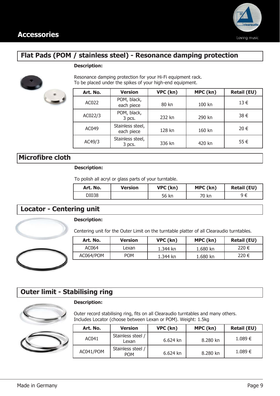

# **Flat Pads (POM / stainless steel) - Resonance damping protection**

#### **Description:**



Resonance damping protection for your Hi-Fi equipment rack. To be placed under the spikes of your high-end equipment.

| Art. No. | <b>Version</b>                 | VPC (kn) | MPC (kn) | <b>Retail (EU)</b> |
|----------|--------------------------------|----------|----------|--------------------|
| AC022    | POM, black,<br>each piece      | 80 kn    | 100 kn   | $13 \in$           |
| AC022/3  | POM, black,<br>3 pcs.          | 232 kn   | 290 kn   | 38 €               |
| AC049    | Stainless steel,<br>each piece | 128 kn   | 160 kn   | 20 €               |
| AC49/3   | Stainless steel,<br>3 pcs.     | 336 kn   | 420 kn   | 55€                |

### **Microfibre cloth**

### **Description:**

To polish all acryl or glass parts of your turntable.

| Art. No. | Version | VPC (kn) | MPC (kn) | <b>Retail (EU)</b> |
|----------|---------|----------|----------|--------------------|
| DI038    |         | 56 kn    | 70 kn    | ∋ ۹                |

### **Locator - Centering unit**

### **Description:**

**Description:**





# **Outer limit - Stabilising ring**



Outer record stabilising ring, fits on all Clearaudio turntables and many others. Includes Locator (choose between Lexan or POM). Weight: 1.5kg

| Art. No.  | <b>Version</b>                  | VPC (kn)   | MPC (kn) | <b>Retail (EU)</b> |
|-----------|---------------------------------|------------|----------|--------------------|
| AC041     | Stainless steel /<br>Lexan      | $6.624$ kn | 8.280 kn | 1.089€             |
| AC041/POM | Stainless steel /<br><b>POM</b> | $6.624$ kn | 8.280 kn | 1.089€             |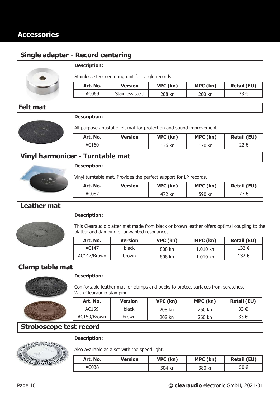# **Single adapter - Record centering**

### **Description:**



Stainless steel centering unit for single records.

| Art. No. | <b>Version</b>  | VPC (kn) | MPC (kn) | <b>Retail (EU)</b> |
|----------|-----------------|----------|----------|--------------------|
| AC069    | Stainless steel | 208 kn   | 260 kn   | 33 €               |

# **Felt mat**

### **Description:**



All-purpose antistatic felt mat for protection and sound improvement.

| Art. No. | <b>Version</b> | VPC (kn) | MPC (kn) | <b>Retail (EU)</b> |
|----------|----------------|----------|----------|--------------------|
| AC160    |                | 136 kn   | 170 kn   | 22 €               |

# **Vinyl harmonicer - Turntable mat**



### **Description:**

Vinyl turntable mat. Provides the perfect support for LP records.

| Art. No. | <b>Version</b> | VPC (kn) | MPC (kn) | <b>Retail (EU)</b> |
|----------|----------------|----------|----------|--------------------|
| AC082    |                | 472 kn   | 590 kn   | 77 €               |

# **Leather mat**

### **Description:**

This Clearaudio platter mat made from black or brown leather offers optimal coupling to the platter and damping of unwanted resonances.

| Art. No.    | <b>Version</b> | VPC (kn) | MPC (kn)   | <b>Retail (EU)</b> |
|-------------|----------------|----------|------------|--------------------|
| AC147       | black          | 808 kn   | $1.010$ kn | 132 €              |
| AC147/Brown | <b>brown</b>   | 808 kn   | 1.010 kn   | 132 €              |

# **Clamp table mat**



#### **Description:**

Comfortable leather mat for clamps and pucks to protect surfaces from scratches. With Clearaudio stamping.

| Art. No.    | <b>Version</b> | VPC (kn) | MPC (kn) | <b>Retail (EU)</b> |
|-------------|----------------|----------|----------|--------------------|
| AC159       | black          | 208 kn   | 260 kn   | 33 €               |
| AC159/Brown | <b>brown</b>   | 208 kn   | 260 kn   | 33 €               |

### **Stroboscope test record**



### **Description:**

Also available as a set with the speed light.

| Art. No. | Version | VPC (kn) | MPC (kn) | <b>Retail (EU)</b> |
|----------|---------|----------|----------|--------------------|
| AC038    |         | 304 kn   | 380 kn   | 50 €               |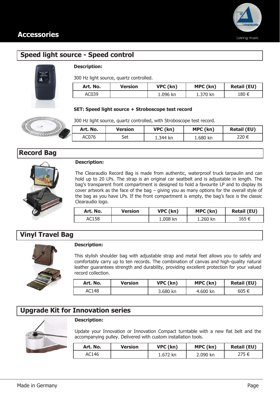

# **Speed light source - Speed control**



### **Description:**

300 Hz light source, quartz controlled.

| Art. No. | Version | VPC (kn) | MPC (kn) | <b>Retail (EU)</b> |
|----------|---------|----------|----------|--------------------|
| AC039    |         | 1.096 kn | 1.370 kn | 180 €              |

**Art. No. Version VPC (kn) MPC (kn) Retail (EU)** AC076 | Set | 1.344 kn | 1.680 kn | 220 €

#### **SET: Speed light source + Stroboscope test record**

300 Hz light source, quartz controlled, with Stroboscope test record.





#### **Description:**

The Clearaudio Record Bag is made from authentic, waterproof truck tarpaulin and can hold up to 20 LPs. The strap is an original car seatbelt and is adjustable in length. The bag's transparent front compartment is designed to hold a favourite LP and to display its cover artwork as the face of the bag – giving you as many options for the overall style of the bag as you have LPs. If the front compartment is empty, the bag's face is the classic Clearaudio logo.

| Art. No. | Version | VPC (kn) | MPC (kn) | <b>Retail (EU)</b> |
|----------|---------|----------|----------|--------------------|
| AC158    |         | 1.008 kn | 1.260 kn | 165 €              |

# **Vinyl Travel Bag**



#### **Description:**

This stylish shoulder bag with adjustable strap and metal feet allows you to safely and comfortably carry up to ten records. The combination of canvas and high-quality natural leather guarantees strength and durability, providing excellent protection for your valued record collection.

| Art. No. | Version | VPC (kn) | MPC (kn) | <b>Retail (EU)</b> |
|----------|---------|----------|----------|--------------------|
| AC148    |         | 3.680 kn | 4.600 kn | 605 €              |

### **Upgrade Kit for Innovation series**



#### **Description:**

Update your Innovation or Innovation Compact turntable with a new flat belt and the accompanying pulley. Delivered with custom installation tools.

| Art. No. | Version | VPC (kn) | MPC (kn) | <b>Retail (EU)</b> |
|----------|---------|----------|----------|--------------------|
| AC146    |         | 1.672 kn | 2.090 kn | 275 €              |

| <b>BARAGARA</b>   |  |
|-------------------|--|
| <b>Record Bag</b> |  |
|                   |  |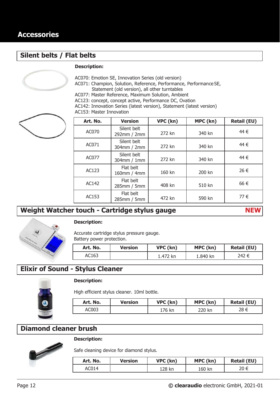### **Silent belts / Flat belts**

#### **Description:**

AC070: Emotion SE, Innovation Series (old version)

AC071: Champion, Solution, Reference, Performance, Performance SE, Statement (old version), all other turntables

AC077: Master Reference, Maximum Solution, Ambient

AC123: concept, concept active, Performance DC, Ovation

AC142: Innovation Series (latest version), Statement (latest version)



AC153: Master Innovation

| Art. No. | <b>Version</b>                | VPC (kn) | MPC (kn) | <b>Retail (EU)</b> |
|----------|-------------------------------|----------|----------|--------------------|
| AC070    | Silent belt<br>292mm / 2mm    | 272 kn   | 340 kn   | 44 €               |
| AC071    | Silent belt<br>304mm / 2mm    | 272 kn   | 340 kn   | 44 €               |
| AC077    | Silent belt<br>$304$ mm / 1mm | 272 kn   | 340 kn   | 44 €               |
| AC123    | Flat belt<br>160mm / 4mm      | 160 kn   | 200 kn   | 26 €               |
| AC142    | Flat belt<br>285mm / 5mm      | 408 kn   | 510 kn   | 66€                |
| AC153    | Flat belt<br>285mm / 5mm      | 472 kn   | 590 kn   | 77€                |

# **Weight Watcher touch - Cartridge stylus gauge NEW**



#### **Description:**

Accurate cartridge stylus pressure gauge. Battery power protection.

| Art. No. | <b>Version</b> | VPC (kn) | MPC (kn) | <b>Retail (EU)</b> |
|----------|----------------|----------|----------|--------------------|
| AC163    |                | 1.472 kn | 1.840 kn | 242 €              |

# **Elixir of Sound - Stylus Cleaner**



### **Description:**

High efficient stylus cleaner. 10ml bottle.

| Art. No. | <b>Version</b> | VPC (kn) | MPC (kn) | <b>Retail (EU)</b> |
|----------|----------------|----------|----------|--------------------|
| AC003    |                | 176 kn   | 220 kn   | 28 €               |

# **Diamond cleaner brush**



### **Description:**

Safe cleaning device for diamond stylus.

| Art. No. | <b>Version</b> | VPC (kn) | MPC (kn) | <b>Retail (EU)</b> |
|----------|----------------|----------|----------|--------------------|
| AC014    |                | 128 kn   | 160 kn   | 20 €               |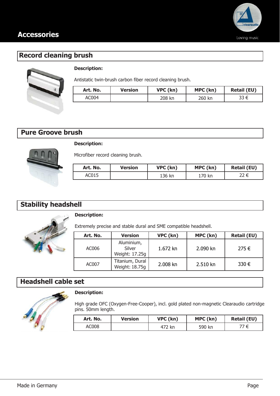

# **Record cleaning brush**



### **Description:**

Antistatic twin-brush carbon fiber record cleaning brush.

| Art. No. | <b>Version</b> | VPC (kn) | MPC (kn) | <b>Retail (EU)</b> |
|----------|----------------|----------|----------|--------------------|
| AC004    |                | 208 kn   | 260 kn   | 33 €               |

# **Pure Groove brush**



### **Description:**

Microfiber record cleaning brush.

| Art. No. | <b>Version</b> | VPC (kn) | MPC (kn) | <b>Retail (EU)</b> |
|----------|----------------|----------|----------|--------------------|
| AC015    |                | 136 kn   | 170 kn   |                    |

# **Stability headshell**



### **Description:**

Extremely precise and stable dural and SME compatible headshell.

| Art. No. | <b>Version</b>                         | VPC (kn) | MPC (kn) | <b>Retail (EU)</b> |
|----------|----------------------------------------|----------|----------|--------------------|
| AC006    | Aluminium,<br>Silver<br>Weight: 17.25g | 1.672 kn | 2.090 kn | 275€               |
| AC007    | Titanium, Dural<br>Weight: 18.75g      | 2.008 kn | 2.510 kn | 330€               |

# **Headshell cable set**



### **Description:**

High grade OFC (Oxygen-Free-Cooper), incl. gold plated non-magnetic Clearaudio cartridge pins. 50mm length.

| Art. No. | Version | VPC (kn) | MPC (kn) | <b>Retail (EU)</b> |
|----------|---------|----------|----------|--------------------|
| AC008    |         | 472 kn   | 590 kn   | 77 €               |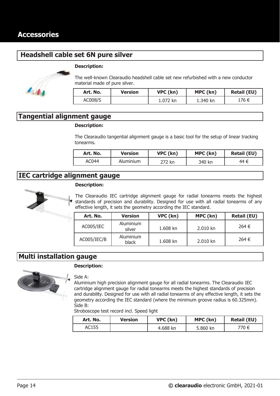# **Headshell cable set 6N pure silver**



#### **Description:**

The well-known Clearaudio headshell cable set new refurbished with a new conductor material made of pure silver.

| Art. No. | <b>Version</b> | VPC (kn) | MPC (kn) | <b>Retail (EU)</b> |
|----------|----------------|----------|----------|--------------------|
| AC008/S  |                | 1.072 kn | 1.340 kn | 176 €              |

### **Tangential alignment gauge**

#### **Description:**

The Clearaudio tangential alignment gauge is a basic tool for the setup of linear tracking tonearms.

| Art. No. | Version   | VPC (kn)          | MPC (kn) | <b>Retail (EU)</b> |
|----------|-----------|-------------------|----------|--------------------|
| AC044    | Aluminium | <sup></sup> 72 kn | 340 kn   | 44 €               |

### **IEC cartridge alignment gauge**





| Art. No.    | <b>Version</b>      | VPC (kn) | MPC (kn) | <b>Retail (EU)</b> |
|-------------|---------------------|----------|----------|--------------------|
| AC005/IEC   | Aluminium<br>silver | 1.608 kn | 2.010 kn | 264 €              |
| AC005/IEC/B | Aluminium<br>black  | 1.608 kn | 2.010 kn | 264 €              |

### **Multi installation gauge**



#### **Description:**

#### Side A:

Aluminium high precision alignment gauge for all radial tonearms. The Clearaudio IEC cartridge alignment gauge for radial tonearms meets the highest standards of precision and durability. Designed for use with all radial tonearms of any effective length, it sets the geometry according the IEC standard (where the minimum groove radius is 60.325mm). Side B:

Stroboscope test record incl. Speed light

| Art. No. | Version | VPC (kn) | MPC (kn) | <b>Retail (EU)</b> |
|----------|---------|----------|----------|--------------------|
| AC155    |         | 4.688 kn | 5.860 kn | 770 €              |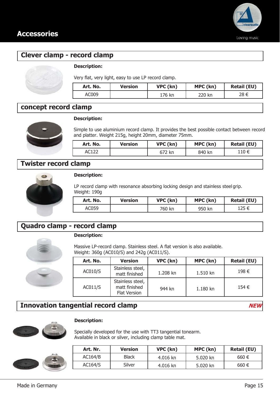

# **Clever clamp - record clamp**

#### **Description:**

Very flat, very light, easy to use LP record clamp.

| Art. No. | Version | VPC (kn) | MPC (kn) | <b>Retail (EU)</b> |
|----------|---------|----------|----------|--------------------|
| AC009    |         | 176 kn   | 220 kn   | 28 €               |

# **concept record clamp**



**Description:**

Simple to use aluminium record clamp. It provides the best possible contact between record and platter. Weight 215g, height 20mm, diameter 75mm.

| Art. No. | <b>Version</b> | VPC (kn) | MPC (kn) | <b>Retail (EU)</b> |
|----------|----------------|----------|----------|--------------------|
|          |                | 672 kn   | 840 kn   | 110 €              |

### **Twister record clamp**



#### **Description:**

LP record clamp with resonance absorbing locking design and stainless steel grip. Weight: 190g

| Art. No. | <b>Version</b> | VPC (kn) | MPC (kn) | <b>Retail (EU)</b> |
|----------|----------------|----------|----------|--------------------|
| AC059    |                | 760 kn   | 950 kn   | 125 €              |

# **Quadro clamp - record clamp**



### **Description:**

Massive LP-record clamp. Stainless steel. A flat version is also available. Weight: 360g (AC010/S) and 242g (AC011/S).

| Art. No. | <b>Version</b>                                           | VPC (kn) | MPC (kn) | <b>Retail (EU)</b> |
|----------|----------------------------------------------------------|----------|----------|--------------------|
| AC010/S  | Stainless steel,<br>matt finished                        | 1.208 kn | 1.510 kn | 198€               |
| AC011/S  | Stainless steel,<br>matt finished<br><b>Flat Version</b> | 944 kn   | 1.180 kn | 154 €              |

# **Innovation tangential record clamp NEW**

**Description:**

Specially developed for the use with TT3 tangential tonearm. Available in black or silver, including clamp table mat.



| Art. Nr. | <b>Version</b> | VPC (kn) | MPC (kn) | <b>Retail (EU)</b> |
|----------|----------------|----------|----------|--------------------|
| AC164/B  | <b>Black</b>   | 4.016 kn | 5.020 kn | 660€               |
| AC164/S  | Silver         | 4.016 kn | 5.020 kn | 660€               |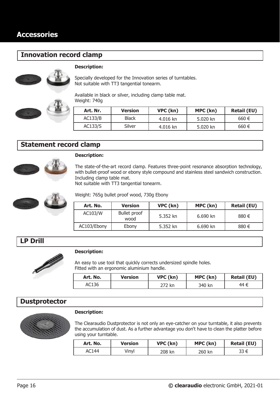# **Innovation record clamp**





### **Description:**

Specially developed for the Innovation series of turntables. Not suitable with TT3 tangential tonearm.

Available in black or silver, including clamp table mat. Weight: 740g

| Art. Nr. | <b>Version</b> | VPC (kn) | MPC (kn) | <b>Retail (EU)</b> |
|----------|----------------|----------|----------|--------------------|
| AC133/B  | <b>Black</b>   | 4.016 kn | 5.020 kn | 660€               |
| AC133/S  | Silver         | 4.016 kn | 5.020 kn | 660€               |

### **Statement record clamp**



#### **Description:**

The state-of-the-art record clamp. Features three-point resonance absorption technology, with bullet-proof wood or ebony style compound and stainless steel sandwich construction. Including clamp table mat.

Not suitable with TT3 tangential tonearm.



Weight: 765g bullet proof wood, 730g Ebony

| Art. No.    | <b>Version</b>              | VPC (kn) | MPC (kn) | <b>Retail (EU)</b> |
|-------------|-----------------------------|----------|----------|--------------------|
| AC103/W     | <b>Bullet proof</b><br>wood | 5.352 kn | 6.690 kn | 880 €              |
| AC103/Ebony | Ebony                       | 5.352 kn | 6.690 kn | 880 €              |

### **LP Drill**



#### **Description:**

An easy to use tool that quickly corrects undersized spindle holes. Fitted with an ergonomic aluminium handle.

| Art. No. | Version | VPC (kn) | MPC (kn) | <b>Retail (EU)</b> |
|----------|---------|----------|----------|--------------------|
| AC136    |         | 272 kn   | 340 kn   | 44 €               |

### **Dustprotector**



#### **Description:**

The Clearaudio Dustprotector is not only an eye-catcher on your turntable, it also prevents the accumulation of dust. As a further advantage you don't have to clean the platter before using your turntable.

| Art. No. | <b>Version</b> | VPC (kn) | MPC (kn) | <b>Retail (EU)</b> |
|----------|----------------|----------|----------|--------------------|
| AC144    | √in∨l          | 208 kn   | 260 kn   | 33 €               |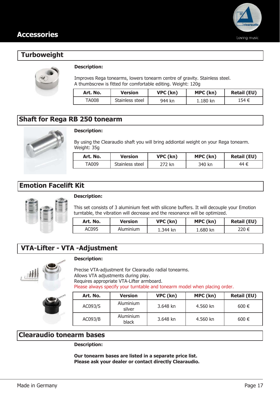

# **Turboweight**



### **Description:**

Improves Rega tonearms, lowers tonearm centre of gravity. Stainless steel. A thumbscrew is fitted for comfortable editing. Weight: 120g

| Art. No. | Version         | VPC (kn) | MPC (kn) | <b>Retail (EU)</b> |
|----------|-----------------|----------|----------|--------------------|
| TA008    | Stainless steel | 944 kn   | 1.180 kn | 154 €              |

### **Shaft for Rega RB 250 tonearm**



### **Description:**

By using the Clearaudio shaft you will bring addiontal weight on your Rega tonearm. Weight: 35g

| Art. No. | <b>Version</b>  | VPC (kn) | MPC (kn) | <b>Retail (EU)</b> |
|----------|-----------------|----------|----------|--------------------|
| TA009    | Stainless steel | 272 kn   | 340 kn   | 44 €               |

### **Emotion Facelift Kit**



### **Description:**

This set consists of 3 aluminium feet with silicone buffers. It will decouple your Emotion turntable, the vibration will decrease and the resonance will be optimized.

| Art. No. | Version   | VPC (kn) | MPC (kn) | <b>Retail (EU)</b> |
|----------|-----------|----------|----------|--------------------|
| AC095    | Aluminium | 1.344 kn | 1.680 kn | 220 €              |

# **VTA-Lifter - VTA -Adjustment**



#### **Description:**

Precise VTA-adjustment for Clearaudio radial tonearms. Allows VTA adjustments during play. Requires appropriate VTA-Lifter armboard. Please always specify your turntable and tonearm model when placing order.

| Art. No. | <b>Version</b>      | VPC (kn) | MPC (kn) | <b>Retail (EU)</b> |
|----------|---------------------|----------|----------|--------------------|
| AC093/S  | Aluminium<br>silver | 3.648 kn | 4.560 kn | $600 \in$          |
| AC093/B  | Aluminium<br>black  | 3.648 kn | 4.560 kn | $600 \in$          |

### **Clearaudio tonearm bases**

**Description:**

**Our tonearm bases are listed in a separate price list. Please ask your dealer or contact directly Clearaudio.**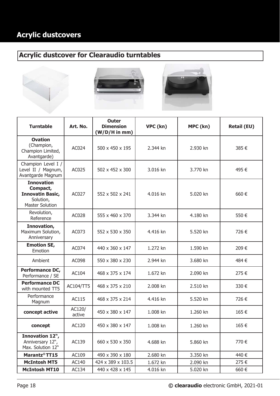# **Acrylic dustcovers**

# **Acrylic dustcover for Clearaudio turntables**







| <b>Turntable</b>                                                                                | Art. No.         | <b>Outer</b><br><b>Dimension</b><br>$(W/D/H$ in mm) | VPC (kn) | MPC (kn) | <b>Retail (EU)</b> |
|-------------------------------------------------------------------------------------------------|------------------|-----------------------------------------------------|----------|----------|--------------------|
| <b>Ovation</b><br>(Champion,<br>Champion Limited,<br>Avantgarde)                                | AC024            | 500 x 450 x 195                                     | 2.344 kn | 2.930 kn | 385€               |
| Champion Level I /<br>Level II / Magnum,<br>Avantgarde Magnum                                   | AC025            | 502 x 452 x 300                                     | 3.016 kn | 3.770 kn | 495€               |
| <b>Innovation</b><br>Compact,<br><b>Innovatin Basic,</b><br>Solution,<br><b>Master Solution</b> | AC027            | 552 x 502 x 241                                     | 4.016 kn | 5.020 kn | 660€               |
| Revolution,<br>Reference                                                                        | AC028            | 555 x 460 x 370                                     | 3.344 kn | 4.180 kn | 550€               |
| Innovation,<br>Maximum Solution,<br>Anniversary                                                 | AC073            | 552 x 530 x 350                                     | 4.416 kn | 5.520 kn | 726€               |
| <b>Emotion SE,</b><br>Emotion                                                                   | AC074            | 440 x 360 x 147                                     | 1.272 kn | 1.590 kn | 209€               |
| Ambient                                                                                         | AC098            | 550 x 380 x 230                                     | 2.944 kn | 3.680 kn | 484€               |
| <b>Performance DC,</b><br>Performance / SE                                                      | AC104            | 468 x 375 x 174                                     | 1.672 kn | 2.090 kn | 275€               |
| <b>Performance DC</b><br>with mounted TT5                                                       | AC104/TT5        | 468 x 375 x 210                                     | 2.008 kn | 2.510 kn | 330€               |
| Performance<br>Magnum                                                                           | AC115            | 468 x 375 x 214                                     | 4.416 kn | 5.520 kn | 726€               |
| concept active                                                                                  | AC120/<br>active | 450 x 380 x 147                                     | 1.008 kn | 1.260 kn | 165€               |
| concept                                                                                         | AC120            | 450 x 380 x 147                                     | 1.008 kn | 1.260 kn | 165€               |
| Innovation 12",<br>Anniversary 12",<br>Max. Solution 12"                                        | AC139            | 660 x 530 x 350                                     | 4.688 kn | 5.860 kn | 770€               |
| Marantz <sup>®</sup> TT15                                                                       | AC109            | 490 x 390 x 180                                     | 2.680 kn | 3.350 kn | 440 €              |
| <b>McIntosh MT5</b>                                                                             | AC140            | 424 x 389 x 103.5                                   | 1.672 kn | 2.090 kn | 275€               |
| <b>McIntosh MT10</b>                                                                            | AC134            | 440 x 428 x 145                                     | 4.016 kn | 5.020 kn | 660€               |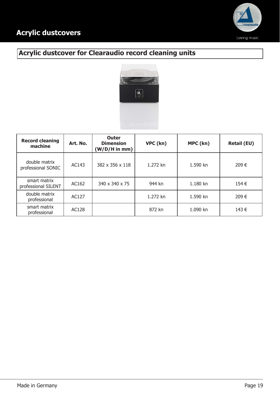

# **Acrylic dustcover for Clearaudio record cleaning units**



| <b>Record cleaning</b><br>machine   | Art. No. | <b>Outer</b><br><b>Dimension</b><br>$(W/D/H$ in mm) | VPC (kn) | MPC (kn) | <b>Retail (EU)</b> |
|-------------------------------------|----------|-----------------------------------------------------|----------|----------|--------------------|
| double matrix<br>professional SONIC | AC143    | 382 x 356 x 118                                     | 1.272 kn | 1.590 kn | 209€               |
| smart matrix<br>professional SILENT | AC162    | 340 x 340 x 75                                      | 944 kn   | 1.180 kn | 154 €              |
| double matrix<br>professional       | AC127    |                                                     | 1.272 kn | 1.590 kn | 209€               |
| smart matrix<br>professional        | AC128    |                                                     | 872 kn   | 1.090 kn | 143 €              |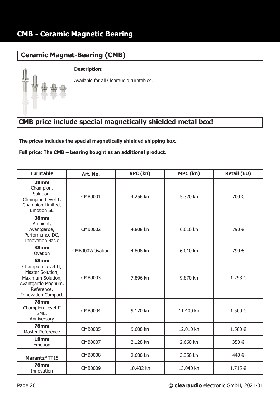# **Ceramic Magnet-Bearing (CMB)**

### **Description:**



# **CMB price include special magnetically shielded metal box!**

**The prices includes the special magnetically shielded shipping box.** 

**Full price: The CMB – bearing bought as an additional product.**

| <b>Turntable</b>                                                                                                                     | Art. No.        | VPC (kn)  | MPC (kn)  | <b>Retail (EU)</b> |
|--------------------------------------------------------------------------------------------------------------------------------------|-----------------|-----------|-----------|--------------------|
| 28 <sub>mm</sub><br>Champion,<br>Solution,<br>Champion Level 1,<br>Champion Limited,<br><b>Emotion SE</b>                            | CMB0001         | 4.256 kn  | 5.320 kn  | 700€               |
| 38mm<br>Ambient,<br>Avantgarde,<br>Performance DC,<br><b>Innovation Basic</b>                                                        | <b>CMB0002</b>  | 4.808 kn  | 6.010 kn  | 790€               |
| 38mm<br>Ovation                                                                                                                      | CMB0002/Ovation | 4.808 kn  | 6.010 kn  | 790€               |
| 68mm<br>Champion Level II,<br>Master Solution,<br>Maximum Solution,<br>Avantgarde Magnum,<br>Reference,<br><b>Innovation Compact</b> | CMB0003         | 7.896 kn  | 9.870 kn  | 1.298€             |
| <b>78mm</b><br>Champion Level II<br>SME,<br>Anniversary                                                                              | <b>CMB0004</b>  | 9.120 kn  | 11.400 kn | 1.500€             |
| <b>78mm</b><br>Master Reference                                                                                                      | <b>CMB0005</b>  | 9.608 kn  | 12.010 kn | 1.580€             |
| 18 <sub>mm</sub><br>Emotion                                                                                                          | <b>CMB0007</b>  | 2.128 kn  | 2.660 kn  | 350€               |
| Marantz <sup>®</sup> TT15                                                                                                            | <b>CMB0008</b>  | 2.680 kn  | 3.350 kn  | 440€               |
| <b>78mm</b><br>Innovation                                                                                                            | <b>CMB0009</b>  | 10.432 kn | 13.040 kn | 1.715€             |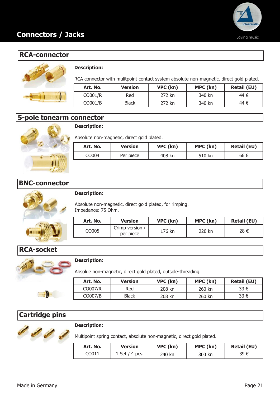

# **RCA-connector**



### **Description:**

RCA connector with mulitpoint contact system absolute non-magnetic, direct gold plated.

| Art. No.            | <b>Version</b> | VPC (kn) | MPC (kn) | <b>Retail (EU)</b> |
|---------------------|----------------|----------|----------|--------------------|
| CO001/R             | Red            | 272 kn   | 340 kn   | 44 €               |
| CO <sub>001/B</sub> | Black          | 272 kn   | 340 kn   | 44 €               |

### **5-pole tonearm connector**



### **Description:**

Absolute non-magnetic, direct gold plated.

| Art. No. | Version   | VPC (kn) | MPC (kn) | <b>Retail (EU)</b> |
|----------|-----------|----------|----------|--------------------|
| CO004    | Per piece | 408 kn   | 510 kn   | 66 €               |

### **BNC-connector**



#### **Description:**

Absolute non-magnetic, direct gold plated, for rimping. Impedance: 75 Ohm.

| Art. No. | <b>Version</b>               | VPC (kn) | MPC (kn) | <b>Retail (EU)</b> |
|----------|------------------------------|----------|----------|--------------------|
| CO005    | Crimp version /<br>per piece | 176 kn   | 220 kn   | 28 €               |

# **RCA-socket**



#### **Description:**

Absolue non-magnetic, direct gold plated, outside-threading.

| Art. No. | <b>Version</b> | VPC (kn) | MPC (kn) | <b>Retail (EU)</b> |
|----------|----------------|----------|----------|--------------------|
| CO007/R  | Red            | 208 kn   | 260 kn   | 33 €               |
| CO007/B  | <b>Black</b>   | 208 kn   | 260 kn   | 33 €               |

# **Cartridge pins**



#### **Description:**

Multipoint spring contact, absolute non-magnetic, direct gold plated.

| Art. No. | <b>Version</b>   | VPC (kn) | MPC (kn) | <b>Retail (EU)</b> |
|----------|------------------|----------|----------|--------------------|
| CO011    | $1$ Set / 4 pcs. | 240 kn   | 300 kn   | 39 €               |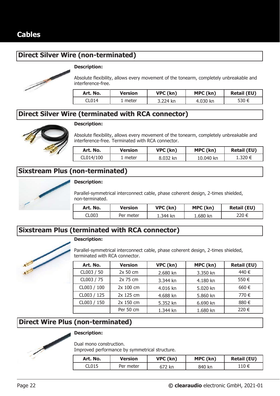# **Direct Silver Wire (non-terminated)**



### **Description:**

Absolute flexibility, allows every movement of the tonearm, completely unbreakable and interference-free.

| Art. No. | Version | VPC (kn) | MPC (kn) | <b>Retail (EU)</b> |
|----------|---------|----------|----------|--------------------|
| CL014    | meter   | 3.224 kn | 4.030 kn | 530 €              |

### **Direct Silver Wire (terminated with RCA connector)**



#### **Description:**

Absolute flexibility, allows every movement of the tonearm, completely unbreakable and interference-free. Terminated with RCA connector.

| Art. No.  | Version | VPC (kn) | MPC (kn)  | <b>Retail (EU)</b> |
|-----------|---------|----------|-----------|--------------------|
| CL014/100 | meter   | 8.032 kn | 10.040 kn | 1.320 €            |

# **Sixstream Plus (non-terminated)**



#### **Description:**

Parallel-symmetrical interconnect cable, phase coherent design, 2-times shielded, non-terminated.

| Art. No. | <b>Version</b> | VPC (kn) | MPC (kn) | <b>Retail (EU)</b> |
|----------|----------------|----------|----------|--------------------|
| CL003    | Per meter      | ⊥.344 kn | 1.680 kn | 220 €              |

# **Sixstream Plus (terminated with RCA connector)**



### **Description:**

Parallel-symmetrical interconnect cable, phase coherent design, 2-times shielded, terminated with RCA connector.

| Art. No.    | <b>Version</b> | VPC (kn) | MPC (kn) | <b>Retail (EU)</b> |
|-------------|----------------|----------|----------|--------------------|
| CL003 / 50  | 2x 50 cm       | 2.680 kn | 3.350 kn | 440 €              |
| CL003 / 75  | 2x 75 cm       | 3.344 kn | 4.180 kn | 550€               |
| CL003 / 100 | 2x 100 cm      | 4.016 kn | 5.020 kn | 660€               |
| CL003 / 125 | 2x 125 cm      | 4.688 kn | 5.860 kn | 770€               |
| CL003 / 150 | 2x 150 cm      | 5.352 kn | 6.690 kn | 880€               |
|             | Per 50 cm      | 1.344 kn | 1.680 kn | 220 €              |

# **Direct Wire Plus (non-terminated)**



### **Description:**

Dual mono construction.

Improved performance by symmetrical structure.

| Art. No. | <b>Version</b> | VPC (kn) | MPC (kn) | <b>Retail (EU)</b> |
|----------|----------------|----------|----------|--------------------|
| CL015    | Per meter      | 672 kr   | 840 kn   | 110 €              |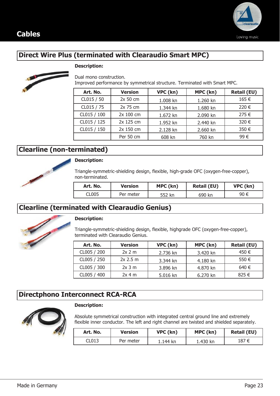



# **Direct Wire Plus (terminated with Clearaudio Smart MPC)**

#### **Description:**



Dual mono construction.

Improved performance by symmetrical structure. Terminated with Smart MPC. **Art. No. Version VPC (kn) MPC (kn) Retail (EU)**

| Art. No.    | version   | VPC (KN) | MPC (KN) | <b>Retail (EU)</b> |
|-------------|-----------|----------|----------|--------------------|
| CL015 / 50  | 2x 50 cm  | 1.008 kn | 1.260 kn | 165€               |
| CL015 / 75  | 2x 75 cm  | 1.344 kn | 1.680 kn | 220 €              |
| CL015 / 100 | 2x 100 cm | 1.672 kn | 2.090 kn | 275 €              |
| CL015 / 125 | 2x 125 cm | 1.952 kn | 2.440 kn | 320 €              |
| CL015 / 150 | 2x 150 cm | 2.128 kn | 2.660 kn | 350€               |
|             | Per 50 cm | 608 kn   | 760 kn   | 99€                |

# **Clearline (non-terminated)**



Triangle-symmetric-shielding design, flexible, high-grade OFC (oxygen-free-copper), non-terminated.

| Art. No. | <b>Version</b> | MPC (kn) | <b>Retail (EU)</b> | VPC (kn) |
|----------|----------------|----------|--------------------|----------|
| CL005    | Per meter      | 552 kn   | 690 kn             | 90 €     |

# **Clearline (terminated with Clearaudio Genius)**



### **Description:**

Triangle-symmetric-shielding design, flexible, highgrade OFC (oxygen-free-copper), terminated with Clearaudio Genius.

| Art. No.    | <b>Version</b> | VPC (kn) | MPC (kn) | <b>Retail (EU)</b> |
|-------------|----------------|----------|----------|--------------------|
| CL005 / 200 | 2x 2m          | 2.736 kn | 3.420 kn | 450 €              |
| CL005 / 250 | $2x$ 2.5 m     | 3.344 kn | 4.180 kn | 550 $\epsilon$     |
| CL005 / 300 | $2x$ 3 m       | 3.896 kn | 4.870 kn | 640 €              |
| CL005 / 400 | 2x 4m          | 5.016 kn | 6.270 kn | 825 €              |

# **Directphono Interconnect RCA-RCA**



#### **Description:**

Absolute symmetrical construction with integrated central ground line and extremely flexible inner conductor. The left and right channel are twisted and shielded separately.

| Art. No. | Version   | VPC (kn) | MPC (kn) | <b>Retail (EU)</b> |
|----------|-----------|----------|----------|--------------------|
| CL013    | Per meter | 1.144 kn | 1.430 kn | 187 €              |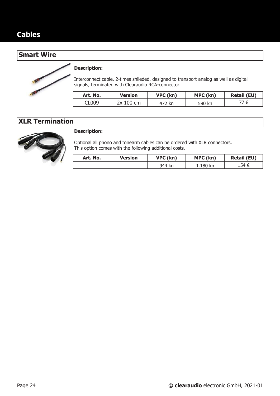### **Smart Wire**



### **Description:**

Interconnect cable, 2-times shileded, designed to transport analog as well as digital signals, terminated with Clearaudio RCA-connector.

| Art. No. | Version   | VPC (kn) | MPC (kn) | <b>Retail (EU)</b> |
|----------|-----------|----------|----------|--------------------|
| CL009    | 2x 100 cm | 472 kn   | 590 kn   |                    |

# **XLR Termination**



### **Description:**

Optional all phono and tonearm cables can be ordered with XLR connectors. This option comes with the following additional costs.

| Art. No. | <b>Version</b> | VPC (kn) | MPC (kn) | <b>Retail (EU)</b> |
|----------|----------------|----------|----------|--------------------|
|          |                | 944 kn   | 1.180 kn | 154 €              |